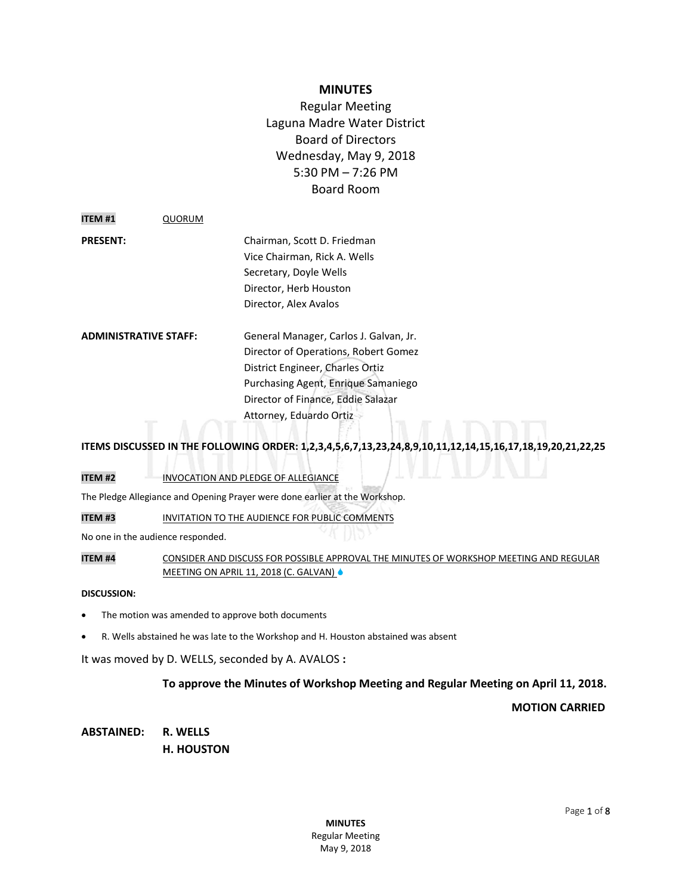## **MINUTES**

Regular Meeting Laguna Madre Water District Board of Directors Wednesday, May 9, 2018 5:30 PM – 7:26 PM Board Room

| <b>ITEM #1</b>               | QUORUM |                                        |
|------------------------------|--------|----------------------------------------|
| <b>PRESENT:</b>              |        | Chairman, Scott D. Friedman            |
|                              |        | Vice Chairman, Rick A. Wells           |
|                              |        | Secretary, Doyle Wells                 |
|                              |        | Director, Herb Houston                 |
|                              |        | Director, Alex Avalos                  |
| <b>ADMINISTRATIVE STAFF:</b> |        | General Manager, Carlos J. Galvan, Jr. |
|                              |        | Director of Operations, Robert Gomez   |
|                              |        | District Engineer, Charles Ortiz       |
|                              |        | Purchasing Agent, Enrique Samaniego    |
|                              |        | Director of Finance, Eddie Salazar     |
|                              |        | Attorney, Eduardo Ortiz                |
|                              |        |                                        |

## **ITEMS DISCUSSED IN THE FOLLOWING ORDER: 1,2,3,4,5,6,7,13,23,24,8,9,10,11,12,14,15,16,17,18,19,20,21,22,25**

## **ITEM #2** INVOCATION AND PLEDGE OF ALLEGIANCE

The Pledge Allegiance and Opening Prayer were done earlier at the Workshop.

**ITEM #3** INVITATION TO THE AUDIENCE FOR PUBLIC COMMENTS

No one in the audience responded.

**ITEM #4** CONSIDER AND DISCUSS FOR POSSIBLE APPROVAL THE MINUTES OF WORKSHOP MEETING AND REGULAR MEETING ON APRIL 11, 2018 (C. GALVAN)

#### **DISCUSSION:**

- The motion was amended to approve both documents
- R. Wells abstained he was late to the Workshop and H. Houston abstained was absent

It was moved by D. WELLS, seconded by A. AVALOS **:**

## **To approve the Minutes of Workshop Meeting and Regular Meeting on April 11, 2018.**

**MOTION CARRIED**

**ABSTAINED: R. WELLS H. HOUSTON**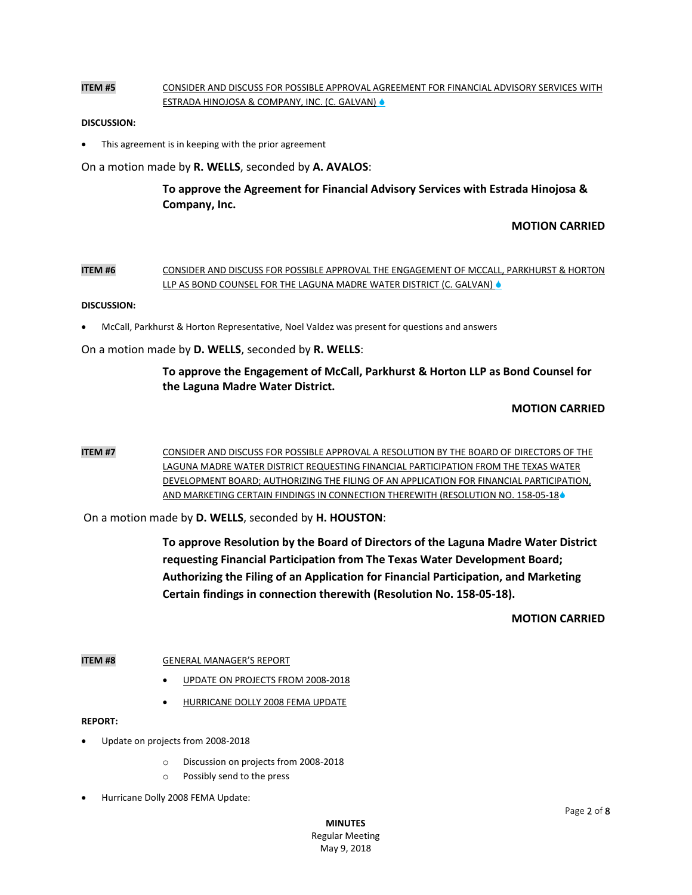## **ITEM #5** CONSIDER AND DISCUSS FOR POSSIBLE APPROVAL AGREEMENT FOR FINANCIAL ADVISORY SERVICES WITH ESTRADA HINOJOSA & COMPANY, INC. (C. GALVAN)

### **DISCUSSION:**

This agreement is in keeping with the prior agreement

On a motion made by **R. WELLS**, seconded by **A. AVALOS**:

**To approve the Agreement for Financial Advisory Services with Estrada Hinojosa & Company, Inc.** 

## **MOTION CARRIED**

### **ITEM #6** CONSIDER AND DISCUSS FOR POSSIBLE APPROVAL THE ENGAGEMENT OF MCCALL, PARKHURST & HORTON LLP AS BOND COUNSEL FOR THE LAGUNA MADRE WATER DISTRICT (C. GALVAN) &

#### **DISCUSSION:**

McCall, Parkhurst & Horton Representative, Noel Valdez was present for questions and answers

On a motion made by **D. WELLS**, seconded by **R. WELLS**:

## **To approve the Engagement of McCall, Parkhurst & Horton LLP as Bond Counsel for the Laguna Madre Water District.**

## **MOTION CARRIED**

**ITEM #7** CONSIDER AND DISCUSS FOR POSSIBLE APPROVAL A RESOLUTION BY THE BOARD OF DIRECTORS OF THE LAGUNA MADRE WATER DISTRICT REQUESTING FINANCIAL PARTICIPATION FROM THE TEXAS WATER DEVELOPMENT BOARD; AUTHORIZING THE FILING OF AN APPLICATION FOR FINANCIAL PARTICIPATION, AND MARKETING CERTAIN FINDINGS IN CONNECTION THEREWITH (RESOLUTION NO. 158-05-18<sup>6</sup>

On a motion made by **D. WELLS**, seconded by **H. HOUSTON**:

**To approve Resolution by the Board of Directors of the Laguna Madre Water District requesting Financial Participation from The Texas Water Development Board; Authorizing the Filing of an Application for Financial Participation, and Marketing Certain findings in connection therewith (Resolution No. 158-05-18).**

**MOTION CARRIED**

## **ITEM #8 GENERAL MANAGER'S REPORT**

- UPDATE ON PROJECTS FROM 2008-2018
- HURRICANE DOLLY 2008 FEMA UPDATE

#### **REPORT:**

- Update on projects from 2008-2018
	- o Discussion on projects from 2008-2018
	- o Possibly send to the press
- Hurricane Dolly 2008 FEMA Update: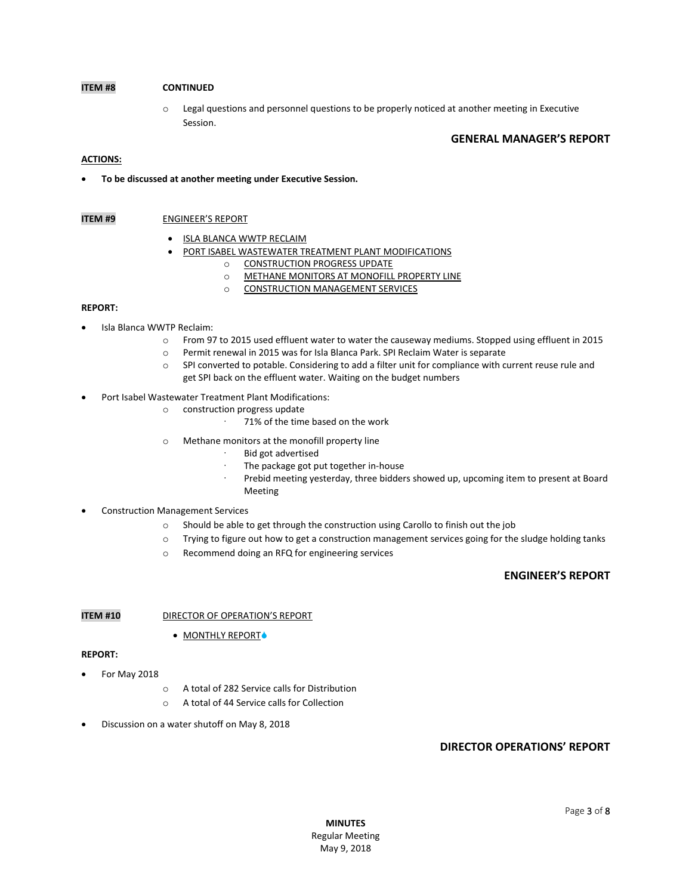## **ITEM #8 CONTINUED**

o Legal questions and personnel questions to be properly noticed at another meeting in Executive Session.

#### **GENERAL MANAGER'S REPORT**

#### **ACTIONS:**

**To be discussed at another meeting under Executive Session.**

#### **ITEM #9** ENGINEER'S REPORT

- ISLA BLANCA WWTP RECLAIM
- **PORT ISABEL WASTEWATER TREATMENT PLANT MODIFICATIONS** 
	- o CONSTRUCTION PROGRESS UPDATE
	- o METHANE MONITORS AT MONOFILL PROPERTY LINE
	- o CONSTRUCTION MANAGEMENT SERVICES

#### **REPORT:**

- Isla Blanca WWTP Reclaim:
	- o From 97 to 2015 used effluent water to water the causeway mediums. Stopped using effluent in 2015
	- o Permit renewal in 2015 was for Isla Blanca Park. SPI Reclaim Water is separate
	- o SPI converted to potable. Considering to add a filter unit for compliance with current reuse rule and get SPI back on the effluent water. Waiting on the budget numbers
- Port Isabel Wastewater Treatment Plant Modifications:
	- o construction progress update
		- · 71% of the time based on the work
	- o Methane monitors at the monofill property line
		- Bid got advertised
		- · The package got put together in-house
		- · Prebid meeting yesterday, three bidders showed up, upcoming item to present at Board Meeting

### Construction Management Services

- $\circ$  Should be able to get through the construction using Carollo to finish out the job
- o Trying to figure out how to get a construction management services going for the sludge holding tanks
- o Recommend doing an RFQ for engineering services

## **ENGINEER'S REPORT**

#### **ITEM #10** DIRECTOR OF OPERATION'S REPORT

• MONTHLY REPORT+

#### **REPORT:**

- For May 2018
	- o A total of 282 Service calls for Distribution
	- o A total of 44 Service calls for Collection
- Discussion on a water shutoff on May 8, 2018

## **DIRECTOR OPERATIONS' REPORT**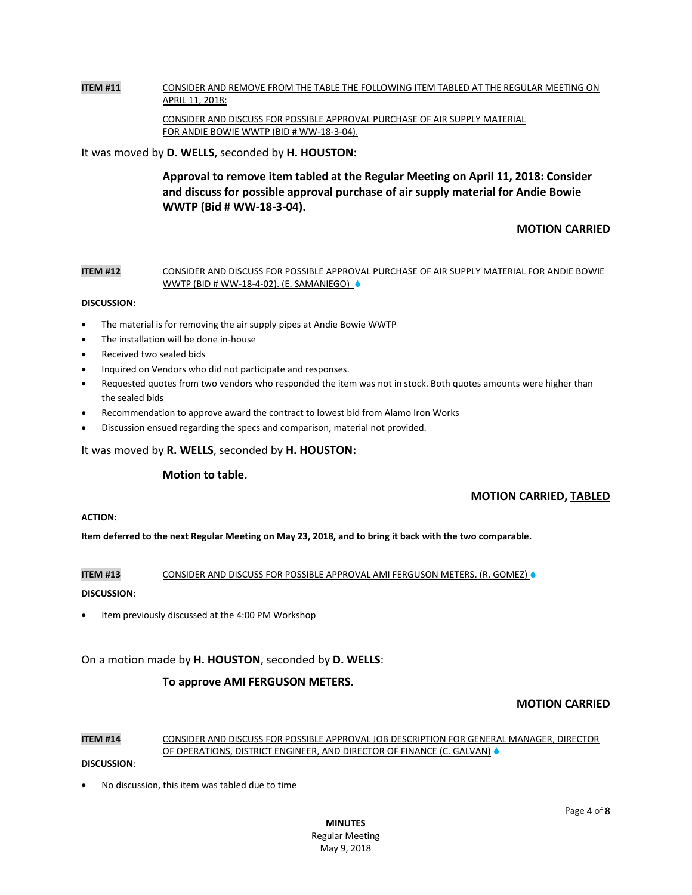# **ITEM #11** CONSIDER AND REMOVE FROM THE TABLE THE FOLLOWING ITEM TABLED AT THE REGULAR MEETING ON APRIL 11, 2018:

CONSIDER AND DISCUSS FOR POSSIBLE APPROVAL PURCHASE OF AIR SUPPLY MATERIAL FOR ANDIE BOWIE WWTP (BID # WW-18-3-04).

It was moved by **D. WELLS**, seconded by **H. HOUSTON:**

**Approval to remove item tabled at the Regular Meeting on April 11, 2018: Consider and discuss for possible approval purchase of air supply material for Andie Bowie WWTP (Bid # WW-18-3-04).** 

## **MOTION CARRIED**

#### **ITEM #12** CONSIDER AND DISCUSS FOR POSSIBLE APPROVAL PURCHASE OF AIR SUPPLY MATERIAL FOR ANDIE BOWIE WWTP (BID # WW-18-4-02). (E. SAMANIEGO)

#### **DISCUSSION**:

- The material is for removing the air supply pipes at Andie Bowie WWTP
- The installation will be done in-house
- Received two sealed bids
- Inquired on Vendors who did not participate and responses.
- Requested quotes from two vendors who responded the item was not in stock. Both quotes amounts were higher than the sealed bids
- Recommendation to approve award the contract to lowest bid from Alamo Iron Works
- Discussion ensued regarding the specs and comparison, material not provided.

#### It was moved by **R. WELLS**, seconded by **H. HOUSTON:**

#### **Motion to table.**

## **MOTION CARRIED, TABLED**

### **ACTION:**

**Item deferred to the next Regular Meeting on May 23, 2018, and to bring it back with the two comparable.** 

#### **ITEM #13** CONSIDER AND DISCUSS FOR POSSIBLE APPROVAL AMI FERGUSON METERS. (R. GOMEZ)  $\bullet$

#### **DISCUSSION**:

Item previously discussed at the 4:00 PM Workshop

On a motion made by **H. HOUSTON**, seconded by **D. WELLS**:

## **To approve AMI FERGUSON METERS.**

## **MOTION CARRIED**

## **ITEM #14** CONSIDER AND DISCUSS FOR POSSIBLE APPROVAL JOB DESCRIPTION FOR GENERAL MANAGER, DIRECTOR OF OPERATIONS, DISTRICT ENGINEER, AND DIRECTOR OF FINANCE (C. GALVAN) &

#### **DISCUSSION**:

No discussion, this item was tabled due to time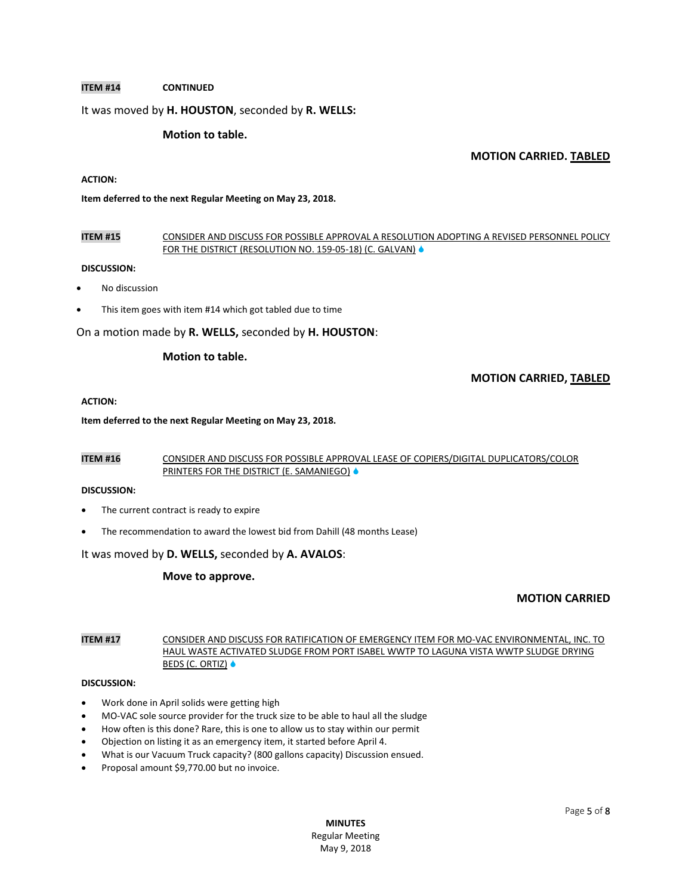### **ITEM #14 CONTINUED**

### It was moved by **H. HOUSTON**, seconded by **R. WELLS:**

### **Motion to table.**

### **MOTION CARRIED. TABLED**

## **ACTION:**

#### **Item deferred to the next Regular Meeting on May 23, 2018.**

### **ITEM #15** CONSIDER AND DISCUSS FOR POSSIBLE APPROVAL A RESOLUTION ADOPTING A REVISED PERSONNEL POLICY FOR THE DISTRICT (RESOLUTION NO. 159-05-18) (C. GALVAN)  $\bullet$

#### **DISCUSSION:**

- No discussion
- This item goes with item #14 which got tabled due to time

### On a motion made by **R. WELLS,** seconded by **H. HOUSTON**:

### **Motion to table.**

## **MOTION CARRIED, TABLED**

#### **ACTION:**

#### **Item deferred to the next Regular Meeting on May 23, 2018.**

### **ITEM #16** CONSIDER AND DISCUSS FOR POSSIBLE APPROVAL LEASE OF COPIERS/DIGITAL DUPLICATORS/COLOR PRINTERS FOR THE DISTRICT (E. SAMANIEGO) ♦

#### **DISCUSSION:**

- The current contract is ready to expire
- The recommendation to award the lowest bid from Dahill (48 months Lease)

#### It was moved by **D. WELLS,** seconded by **A. AVALOS**:

#### **Move to approve.**

## **MOTION CARRIED**

## **ITEM #17** CONSIDER AND DISCUSS FOR RATIFICATION OF EMERGENCY ITEM FOR MO-VAC ENVIRONMENTAL, INC. TO HAUL WASTE ACTIVATED SLUDGE FROM PORT ISABEL WWTP TO LAGUNA VISTA WWTP SLUDGE DRYING BEDS (C. ORTIZ)  $\bullet$

#### **DISCUSSION:**

- Work done in April solids were getting high
- MO-VAC sole source provider for the truck size to be able to haul all the sludge
- How often is this done? Rare, this is one to allow us to stay within our permit
- Objection on listing it as an emergency item, it started before April 4.
- What is our Vacuum Truck capacity? (800 gallons capacity) Discussion ensued.
- Proposal amount \$9,770.00 but no invoice.

**MINUTES** Regular Meeting May 9, 2018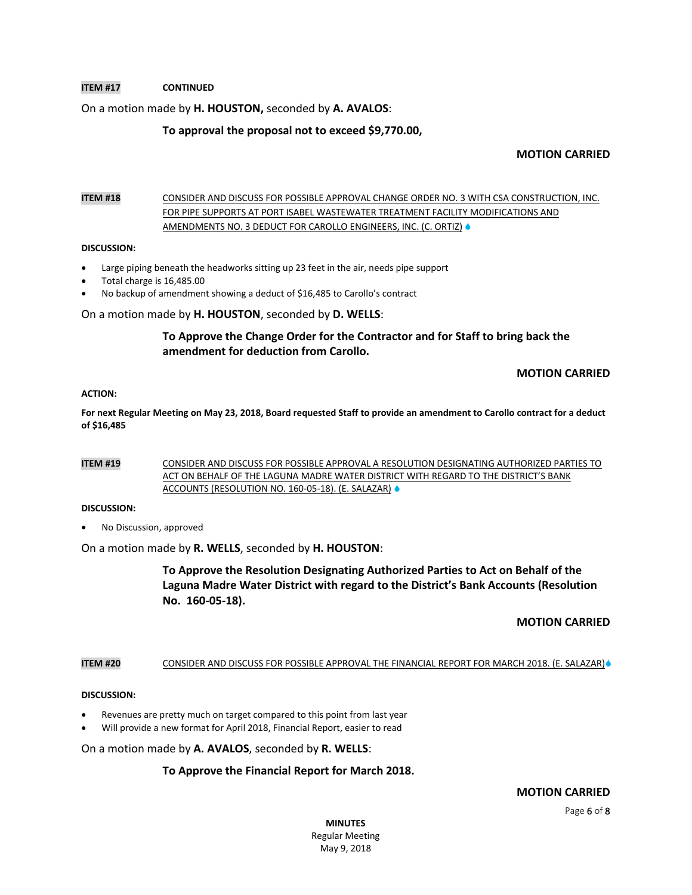## **ITEM #17 CONTINUED**

## On a motion made by **H. HOUSTON,** seconded by **A. AVALOS**:

### **To approval the proposal not to exceed \$9,770.00,**

### **MOTION CARRIED**

## **ITEM #18** CONSIDER AND DISCUSS FOR POSSIBLE APPROVAL CHANGE ORDER NO. 3 WITH CSA CONSTRUCTION, INC. FOR PIPE SUPPORTS AT PORT ISABEL WASTEWATER TREATMENT FACILITY MODIFICATIONS AND AMENDMENTS NO. 3 DEDUCT FOR CAROLLO ENGINEERS, INC. (C. ORTIZ) .

#### **DISCUSSION:**

- Large piping beneath the headworks sitting up 23 feet in the air, needs pipe support
- Total charge is 16,485.00
- No backup of amendment showing a deduct of \$16,485 to Carollo's contract

#### On a motion made by **H. HOUSTON**, seconded by **D. WELLS**:

## **To Approve the Change Order for the Contractor and for Staff to bring back the amendment for deduction from Carollo.**

## **MOTION CARRIED**

#### **ACTION:**

**For next Regular Meeting on May 23, 2018, Board requested Staff to provide an amendment to Carollo contract for a deduct of \$16,485**

#### **ITEM #19** CONSIDER AND DISCUSS FOR POSSIBLE APPROVAL A RESOLUTION DESIGNATING AUTHORIZED PARTIES TO ACT ON BEHALF OF THE LAGUNA MADRE WATER DISTRICT WITH REGARD TO THE DISTRICT'S BANK ACCOUNTS (RESOLUTION NO. 160-05-18). (E. SALAZAR)

#### **DISCUSSION:**

No Discussion, approved

On a motion made by **R. WELLS**, seconded by **H. HOUSTON**:

**To Approve the Resolution Designating Authorized Parties to Act on Behalf of the Laguna Madre Water District with regard to the District's Bank Accounts (Resolution No. 160-05-18).** 

#### **MOTION CARRIED**

### ITEM #20 CONSIDER AND DISCUSS FOR POSSIBLE APPROVAL THE FINANCIAL REPORT FOR MARCH 2018. (E. SALAZAR)<sup>®</sup>

#### **DISCUSSION:**

- Revenues are pretty much on target compared to this point from last year
- Will provide a new format for April 2018, Financial Report, easier to read

On a motion made by **A. AVALOS**, seconded by **R. WELLS**:

## **To Approve the Financial Report for March 2018.**

 **MOTION CARRIED**

Page 6 of 8

**MINUTES** Regular Meeting May 9, 2018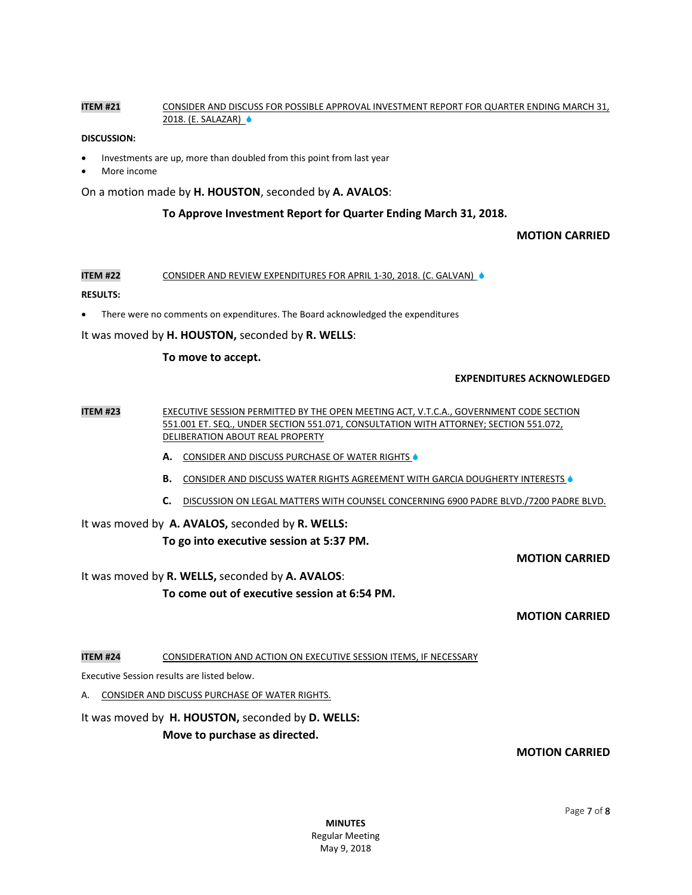### **ITEM #21** CONSIDER AND DISCUSS FOR POSSIBLE APPROVAL INVESTMENT REPORT FOR QUARTER ENDING MARCH 31, 2018. (E. SALAZAR) ♦

#### **DISCUSSION:**

- Investments are up, more than doubled from this point from last year
- More income

On a motion made by **H. HOUSTON**, seconded by **A. AVALOS**:

### **To Approve Investment Report for Quarter Ending March 31, 2018.**

### **MOTION CARRIED**

**ITEM #22** CONSIDER AND REVIEW EXPENDITURES FOR APRIL 1-30, 2018. (C. GALVAN)  $\bullet$ 

#### **RESULTS:**

There were no comments on expenditures. The Board acknowledged the expenditures

It was moved by **H. HOUSTON,** seconded by **R. WELLS**:

#### **To move to accept.**

#### **EXPENDITURES ACKNOWLEDGED**

**ITEM #23** EXECUTIVE SESSION PERMITTED BY THE OPEN MEETING ACT, V.T.C.A., GOVERNMENT CODE SECTION 551.001 ET. SEQ., UNDER SECTION 551.071, CONSULTATION WITH ATTORNEY; SECTION 551.072, DELIBERATION ABOUT REAL PROPERTY

- A. CONSIDER AND DISCUSS PURCHASE OF WATER RIGHTS  $\bullet$
- **B.** CONSIDER AND DISCUSS WATER RIGHTS AGREEMENT WITH GARCIA DOUGHERTY INTERESTS  $\bullet$
- **C.** DISCUSSION ON LEGAL MATTERS WITH COUNSEL CONCERNING 6900 PADRE BLVD./7200 PADRE BLVD.

# It was moved by **A. AVALOS,** seconded by **R. WELLS:**

## **To go into executive session at 5:37 PM.**

**MOTION CARRIED**

It was moved by **R. WELLS,** seconded by **A. AVALOS**:

**To come out of executive session at 6:54 PM.**

**MOTION CARRIED**

**ITEM #24** CONSIDERATION AND ACTION ON EXECUTIVE SESSION ITEMS, IF NECESSARY

Executive Session results are listed below.

A. CONSIDER AND DISCUSS PURCHASE OF WATER RIGHTS.

## It was moved by **H. HOUSTON,** seconded by **D. WELLS:**

**Move to purchase as directed.** 

## **MOTION CARRIED**